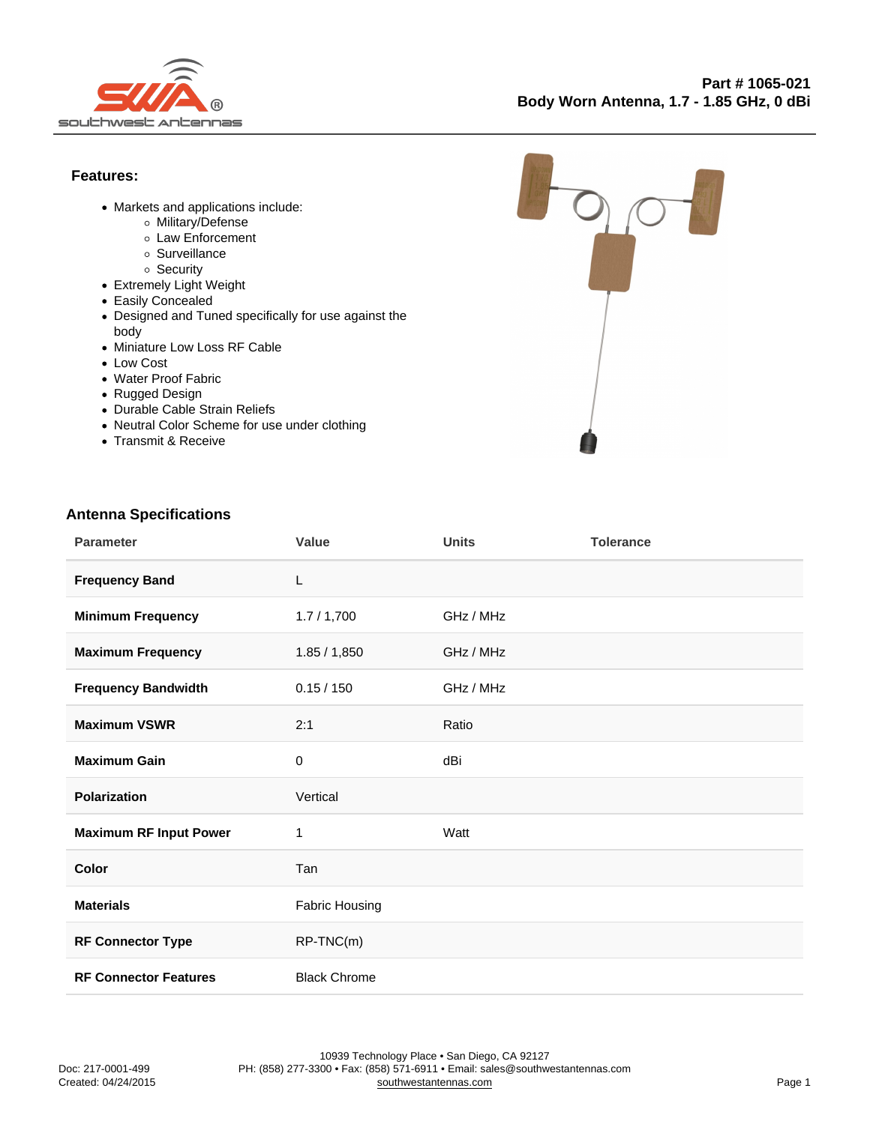Features:

- Markets and applications include:
	- Military/Defense
	- Law Enforcement
	- o Surveillance
	- o Security
- Extremely Light Weight
- Easily Concealed
- Designed and Tuned specifically for use against the body
- Miniature Low Loss RF Cable
- Low Cost
- Water Proof Fabric
- Rugged Design
- Durable Cable Strain Reliefs
- Neutral Color Scheme for use under clothing
- Transmit & Receive

## Antenna Specifications

| Parameter                    | Value                 | <b>Units</b> | Tolerance |
|------------------------------|-----------------------|--------------|-----------|
| <b>Frequency Band</b>        | L                     |              |           |
| Minimum Frequency            | 1.7/1,700             | GHz / MHz    |           |
| Maximum Frequency            | 1.85 / 1,850          | GHz / MHz    |           |
| Frequency Bandwidth          | 0.15 / 150            | GHz / MHz    |           |
| Maximum VSWR                 | 2:1                   | Ratio        |           |
| Maximum Gain                 | $\pmb{0}$             | dBi          |           |
| Polarization                 | Vertical              |              |           |
| Maximum RF Input Power       | 1                     | Watt         |           |
| Color                        | Tan                   |              |           |
| <b>Materials</b>             | <b>Fabric Housing</b> |              |           |
| RF Connector Type            | $RP-TNC(m)$           |              |           |
| <b>RF Connector Features</b> | <b>Black Chrome</b>   |              |           |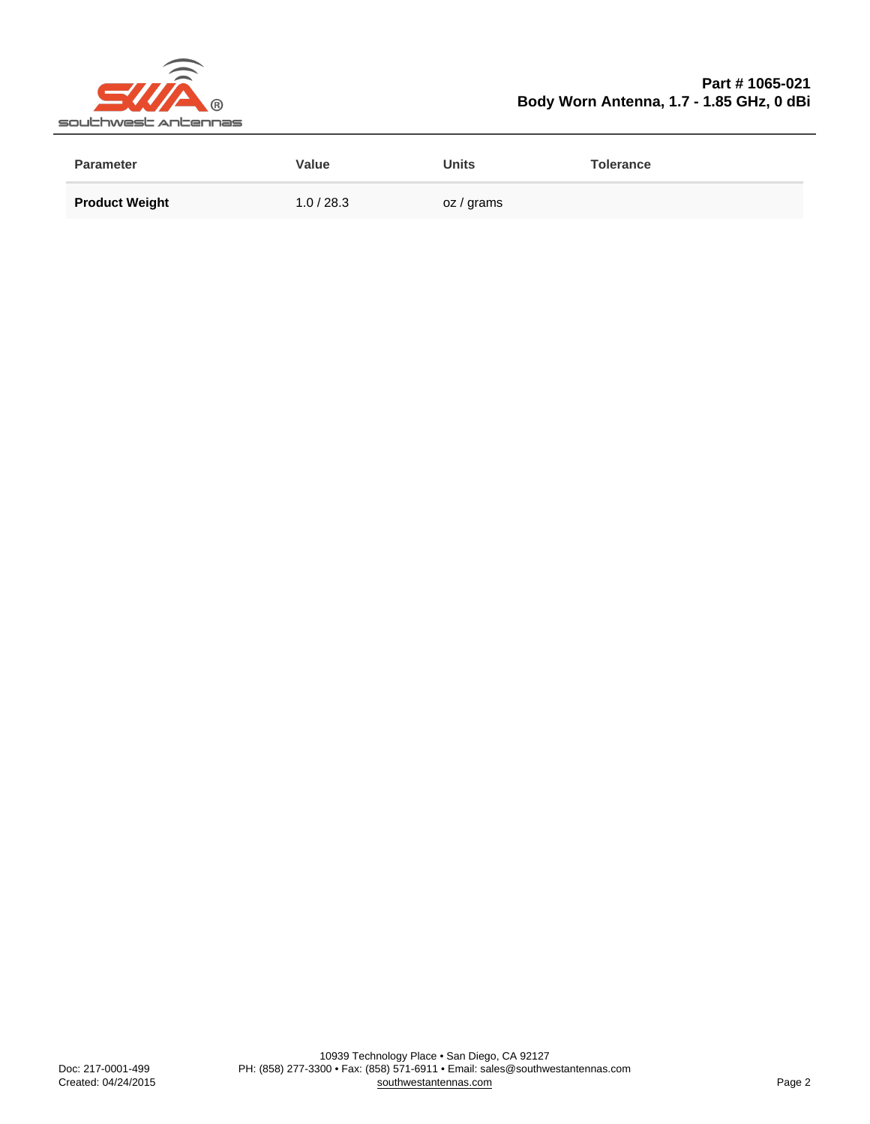## Part # 1065-021 Body Worn Antenna, 1.7 - 1.85 GHz, 0 dBi

| Parameter             | Value      | Units      | Tolerance |
|-----------------------|------------|------------|-----------|
| <b>Product Weight</b> | 1.0 / 28.3 | oz / grams |           |